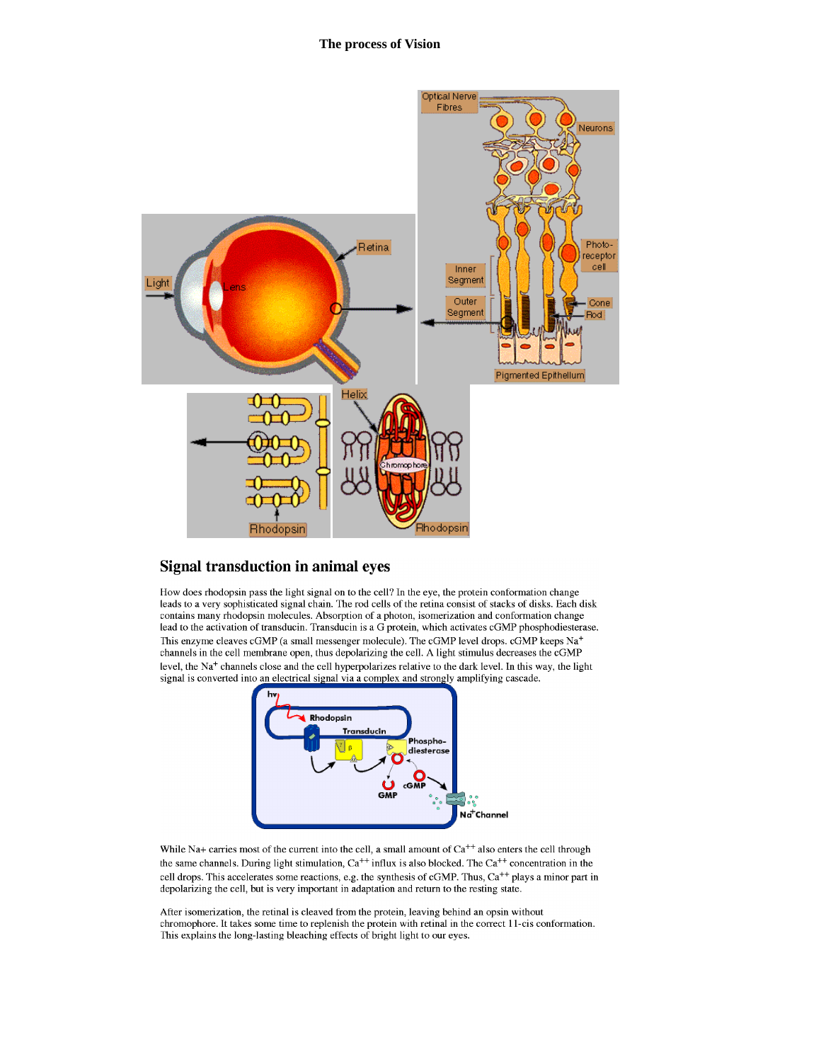

## **Signal transduction in animal eyes**

How does rhodopsin pass the light signal on to the cell? In the eye, the protein conformation change leads to a very sophisticated signal chain. The rod cells of the retina consist of stacks of disks. Each disk contains many rhodopsin molecules. Absorption of a photon, isomerization and conformation change lead to the activation of transducin. Transducin is a G protein, which activates cGMP phosphodiesterase. This enzyme cleaves cGMP (a small messenger molecule). The cGMP level drops. cGMP keeps Na<sup>+</sup> channels in the cell membrane open, thus depolarizing the cell. A light stimulus decreases the cGMP level, the Na<sup>+</sup> channels close and the cell hyperpolarizes relative to the dark level. In this way, the light signal is converted into an electrical signal via a complex and strongly amplifying cascade.



While Na+ carries most of the current into the cell, a small amount of  $Ca<sup>++</sup>$  also enters the cell through the same channels. During light stimulation,  $Ca^{++}$  influx is also blocked. The  $Ca^{++}$  concentration in the cell drops. This accelerates some reactions, e.g. the synthesis of cGMP. Thus, Ca<sup>++</sup> plays a minor part in depolarizing the cell, but is very important in adaptation and return to the resting state.

After isomerization, the retinal is cleaved from the protein, leaving behind an opsin without chromophore. It takes some time to replenish the protein with retinal in the correct 11-cis conformation. This explains the long-lasting bleaching effects of bright light to our eyes.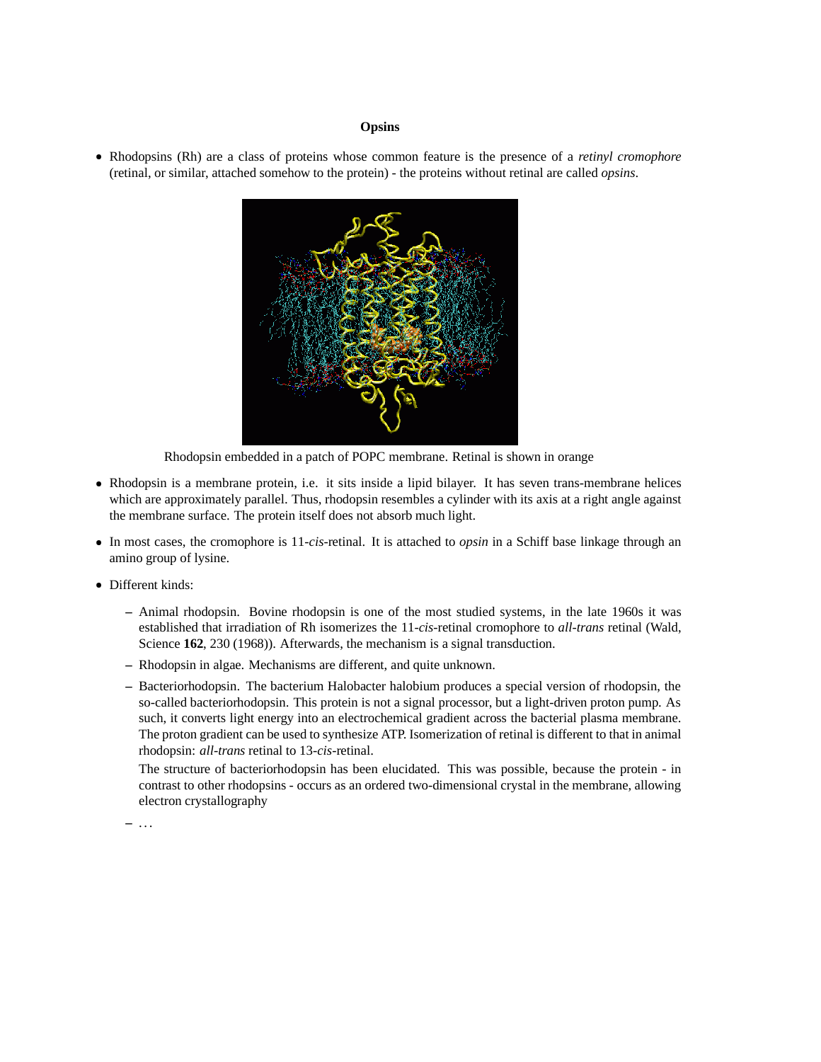## **Opsins**

 Rhodopsins (Rh) are a class of proteins whose common feature is the presence of a *retinyl cromophore* (retinal, or similar, attached somehow to the protein) - the proteins without retinal are called *opsins*.



Rhodopsin embedded in a patch of POPC membrane. Retinal is shown in orange

- Rhodopsin is a membrane protein, i.e. it sits inside a lipid bilayer. It has seven trans-membrane helices which are approximately parallel. Thus, rhodopsin resembles a cylinder with its axis at a right angle against the membrane surface. The protein itself does not absorb much light.
- In most cases, the cromophore is 11-*cis*-retinal. It is attached to *opsin* in a Schiff base linkage through an amino group of lysine.
- Different kinds:
	- **–** Animal rhodopsin. Bovine rhodopsin is one of the most studied systems, in the late 1960s it was established that irradiation of Rh isomerizes the 11-*cis*-retinal cromophore to *all-trans* retinal (Wald, Science **162**, 230 (1968)). Afterwards, the mechanism is a signal transduction.
	- **–** Rhodopsin in algae. Mechanisms are different, and quite unknown.
	- **–** Bacteriorhodopsin. The bacterium Halobacter halobium produces a special version of rhodopsin, the so-called bacteriorhodopsin. This protein is not a signal processor, but a light-driven proton pump. As such, it converts light energy into an electrochemical gradient across the bacterial plasma membrane. The proton gradient can be used to synthesize ATP. Isomerization of retinal is different to that in animal rhodopsin: *all-trans* retinal to 13-*cis*-retinal.

The structure of bacteriorhodopsin has been elucidated. This was possible, because the protein - in contrast to other rhodopsins - occurs as an ordered two-dimensional crystal in the membrane, allowing electron crystallography

**–** . . .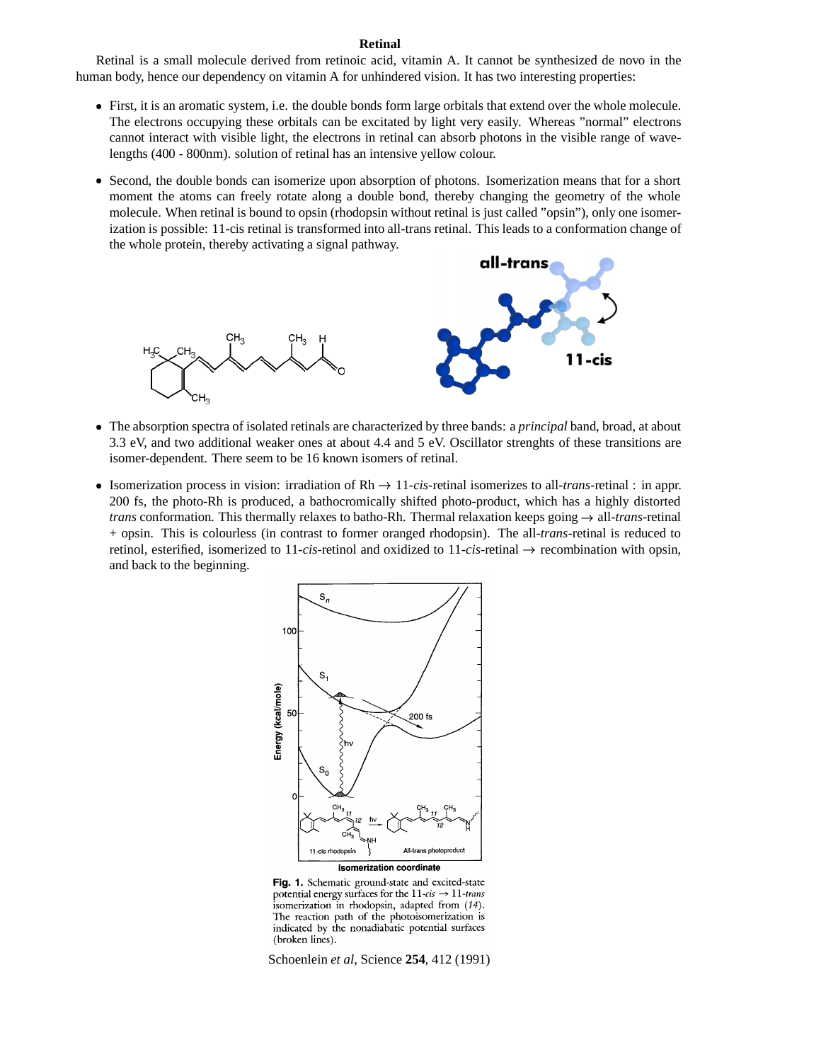## **Retinal**

Retinal is a small molecule derived from retinoic acid, vitamin A. It cannot be synthesized de novo in the human body, hence our dependency on vitamin A for unhindered vision. It has two interesting properties:

- First, it is an aromatic system, i.e. the double bonds form large orbitals that extend over the whole molecule. The electrons occupying these orbitals can be excitated by light very easily. Whereas "normal" electrons cannot interact with visible light, the electrons in retinal can absorb photons in the visible range of wavelengths (400 - 800nm). solution of retinal has an intensive yellow colour.
- Second, the double bonds can isomerize upon absorption of photons. Isomerization means that for a short moment the atoms can freely rotate along a double bond, thereby changing the geometry of the whole molecule. When retinal is bound to opsin (rhodopsin without retinal is just called "opsin"), only one isomerization is possible: 11-cis retinal is transformed into all-trans retinal. This leads to a conformation change of the whole protein, thereby activating a signal pathway.



- The absorption spectra of isolated retinals are characterized by three bands: a *principal* band, broad, at about 3.3 eV, and two additional weaker ones at about 4.4 and 5 eV. Oscillator strenghts of these transitions are isomer-dependent. There seem to be 16 known isomers of retinal.
- Isomerization process in vision: irradiation of  $Rh \rightarrow 11-cis$ -retinal isomerizes to all-*trans*-retinal : in appr. 200 fs, the photo-Rh is produced, a bathocromically shifted photo-product, which has a highly distorted *trans* conformation. This thermally relaxes to batho-Rh. Thermal relaxation keeps going all-*trans*-retinal + opsin. This is colourless (in contrast to former oranged rhodopsin). The all-*trans*-retinal is reduced to retinol, esterified, isomerized to 11-*cis*-retinol and oxidized to 11-*cis*-retinal recombination with opsin, and back to the beginning.



Fig. 1. Schematic ground-state and excited-state potential energy surfaces for the  $11$ -cis  $\rightarrow 11$ -trans isomerization in rhodopsin, adapted from (14). The reaction path of the photoisomerization is indicated by the nonadiabatic potential surfaces (broken lines).

Schoenlein *et al*, Science **254**, 412 (1991)